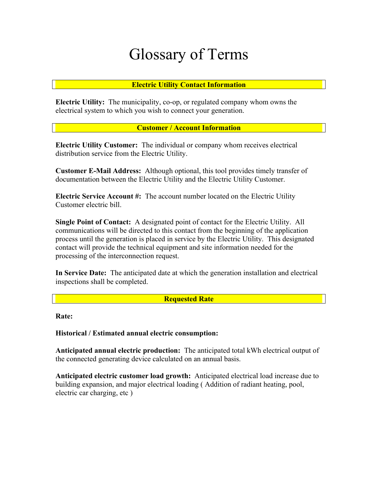# Glossary of Terms

# **Electric Utility Contact Information**

**Electric Utility:** The municipality, co-op, or regulated company whom owns the electrical system to which you wish to connect your generation.

## **Customer / Account Information**

**Electric Utility Customer:** The individual or company whom receives electrical distribution service from the Electric Utility.

**Customer E-Mail Address:** Although optional, this tool provides timely transfer of documentation between the Electric Utility and the Electric Utility Customer.

**Electric Service Account #:** The account number located on the Electric Utility Customer electric bill.

**Single Point of Contact:** A designated point of contact for the Electric Utility. All communications will be directed to this contact from the beginning of the application process until the generation is placed in service by the Electric Utility. This designated contact will provide the technical equipment and site information needed for the processing of the interconnection request.

**In Service Date:** The anticipated date at which the generation installation and electrical inspections shall be completed.

**Requested Rate** 

**Rate:** 

Historical / Estimated annual electric consumption:

**Anticipated annual electric production:** The anticipated total kWh electrical output of the connected generating device calculated on an annual basis.

**Anticipated electric customer load growth:** Anticipated electrical load increase due to building expansion, and major electrical loading ( Addition of radiant heating, pool, electric car charging, etc )